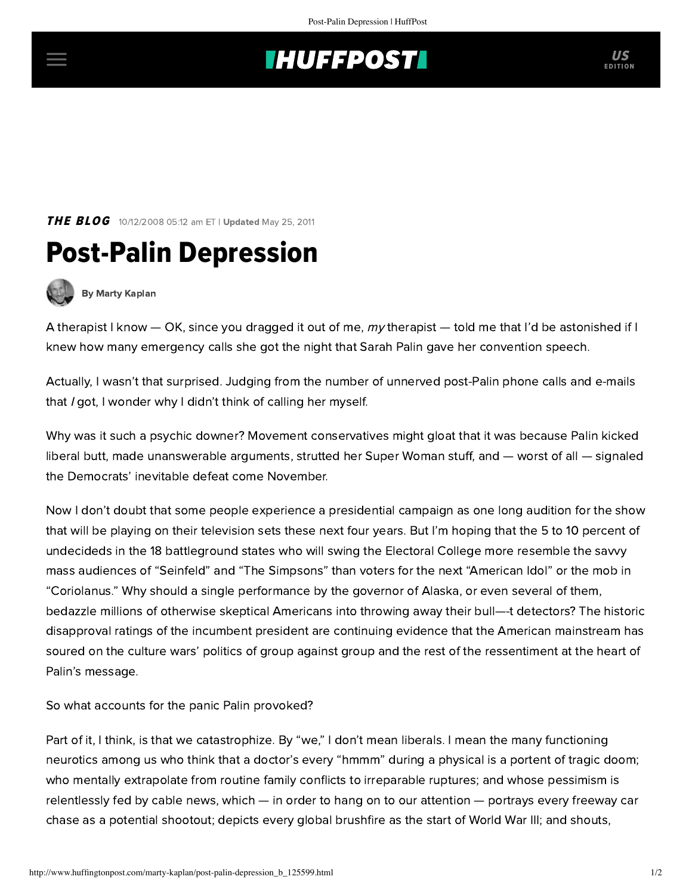## **INUFFPOSTI** US

**THE BLOG** 10/12/2008 05:12 am ET | Updated May 25, 2011

## Post-Palin Depression



[By Marty Kaplan](http://www.huffingtonpost.com/author/marty-kaplan)

A therapist I know  $-$  OK, since you dragged it out of me, my therapist  $-$  told me that I'd be astonished if I knew how many emergency calls she got the night that Sarah Palin gave her convention speech.

Actually, I wasn't that surprised. Judging from the number of unnerved post-Palin phone calls and e-mails that I got, I wonder why I didn't think of calling her myself.

Why was it such a psychic downer? Movement conservatives might gloat that it was because Palin kicked liberal butt, made unanswerable arguments, strutted her Super Woman stuff, and — worst of all — signaled the Democrats' inevitable defeat come November.

Now I don't doubt that some people experience a presidential campaign as one long audition for the show that will be playing on their television sets these next four years. But I'm hoping that the 5 to 10 percent of undecideds in the 18 battleground states who will swing the Electoral College more resemble the savvy mass audiences of "Seinfeld" and "The Simpsons" than voters for the next "American Idol" or the mob in "Coriolanus." Why should a single performance by the governor of Alaska, or even several of them, bedazzle millions of otherwise skeptical Americans into throwing away their bull—-t detectors? The historic disapproval ratings of the incumbent president are continuing evidence that the American mainstream has soured on the culture wars' politics of group against group and the rest of the ressentiment at the heart of Palin's message.

So what accounts for the panic Palin provoked?

Part of it, I think, is that we catastrophize. By "we," I don't mean liberals. I mean the many functioning neurotics among us who think that a doctor's every "hmmm" during a physical is a portent of tragic doom; who mentally extrapolate from routine family conflicts to irreparable ruptures; and whose pessimism is relentlessly fed by cable news, which — in order to hang on to our attention — portrays every freeway car chase as a potential shootout; depicts every global brushfire as the start of World War III; and shouts,